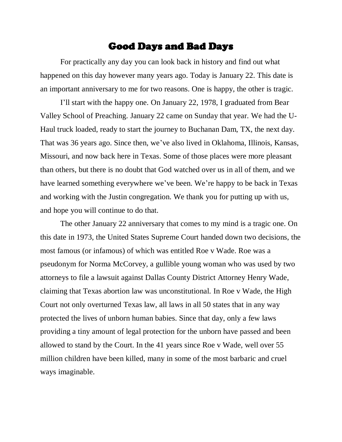## Good Days and Bad Days

For practically any day you can look back in history and find out what happened on this day however many years ago. Today is January 22. This date is an important anniversary to me for two reasons. One is happy, the other is tragic.

I'll start with the happy one. On January 22, 1978, I graduated from Bear Valley School of Preaching. January 22 came on Sunday that year. We had the U-Haul truck loaded, ready to start the journey to Buchanan Dam, TX, the next day. That was 36 years ago. Since then, we've also lived in Oklahoma, Illinois, Kansas, Missouri, and now back here in Texas. Some of those places were more pleasant than others, but there is no doubt that God watched over us in all of them, and we have learned something everywhere we've been. We're happy to be back in Texas and working with the Justin congregation. We thank you for putting up with us, and hope you will continue to do that.

The other January 22 anniversary that comes to my mind is a tragic one. On this date in 1973, the United States Supreme Court handed down two decisions, the most famous (or infamous) of which was entitled Roe v Wade. Roe was a pseudonym for Norma McCorvey, a gullible young woman who was used by two attorneys to file a lawsuit against Dallas County District Attorney Henry Wade, claiming that Texas abortion law was unconstitutional. In Roe v Wade, the High Court not only overturned Texas law, all laws in all 50 states that in any way protected the lives of unborn human babies. Since that day, only a few laws providing a tiny amount of legal protection for the unborn have passed and been allowed to stand by the Court. In the 41 years since Roe v Wade, well over 55 million children have been killed, many in some of the most barbaric and cruel ways imaginable.